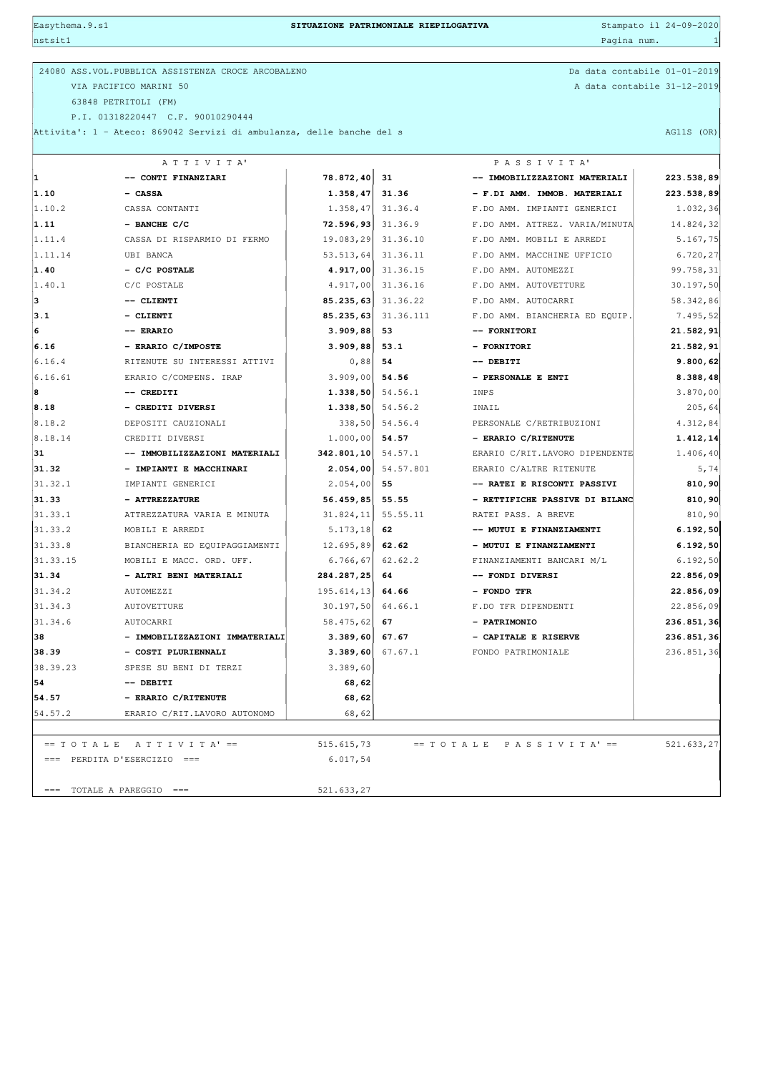Easythema.9.s1 **SITUAZIONE PATRIMONIALE RIEPILOGATIVA** Stampato il 24-09-2020

| nstsit1                              |                                                                       |                              |            | Pagina num.                            | -1         |
|--------------------------------------|-----------------------------------------------------------------------|------------------------------|------------|----------------------------------------|------------|
|                                      |                                                                       |                              |            |                                        |            |
|                                      | 24080 ASS. VOL. PUBBLICA ASSISTENZA CROCE ARCOBALENO                  | Da data contabile 01-01-2019 |            |                                        |            |
|                                      | VIA PACIFICO MARINI 50                                                | A data contabile 31-12-2019  |            |                                        |            |
|                                      | 63848 PETRITOLI (FM)<br>P.I. 01318220447 C.F. 90010290444             |                              |            |                                        |            |
|                                      | Attivita': 1 - Ateco: 869042 Servizi di ambulanza, delle banche del s |                              | AG11S (OR) |                                        |            |
|                                      |                                                                       |                              |            |                                        |            |
|                                      | ATTIVITA'                                                             |                              |            | PASSIVITA'                             |            |
| 1                                    | -- CONTI FINANZIARI                                                   | 78.872,40                    | 31         | -- IMMOBILIZZAZIONI MATERIALI          | 223.538,89 |
| 1.10                                 | - CASSA                                                               | 1.358, 47                    | 31.36      | - F.DI AMM. IMMOB. MATERIALI           | 223.538,89 |
| 1.10.2                               | CASSA CONTANTI                                                        | 1.358, 47                    | 31.36.4    | F.DO AMM. IMPIANTI GENERICI            | 1.032,36   |
| 1.11                                 | $-$ BANCHE C/C                                                        | 72.596,93                    | 31.36.9    | F.DO AMM. ATTREZ. VARIA/MINUTA         | 14.824,32  |
| 1.11.4                               | CASSA DI RISPARMIO DI FERMO                                           | 19.083,29                    | 31.36.10   | F.DO AMM. MOBILI E ARREDI              | 5.167,75   |
| 1.11.14                              | UBI BANCA                                                             | 53.513,64                    | 31.36.11   | F.DO AMM. MACCHINE UFFICIO             | 6.720,27   |
| 1.40                                 | $-$ C/C POSTALE                                                       | 4.917,00                     | 31.36.15   | F.DO AMM. AUTOMEZZI                    | 99.758,31  |
| 1.40.1                               | C/C POSTALE                                                           | 4.917,00                     | 31.36.16   | F.DO AMM. AUTOVETTURE                  | 30.197,50  |
| з                                    | -- CLIENTI                                                            | 85.235,63                    | 31.36.22   | F.DO AMM. AUTOCARRI                    | 58.342,86  |
| 3.1                                  | - CLIENTI                                                             | 85.235,63                    | 31.36.111  | F.DO AMM. BIANCHERIA ED EQUIP.         | 7.495,52   |
| 6                                    | -- ERARIO                                                             | 3.909,88                     | 53         | -- FORNITORI                           | 21.582,91  |
| 6.16                                 | - ERARIO C/IMPOSTE                                                    | 3.909,88                     | 53.1       | - FORNITORI                            | 21.582,91  |
| 6.16.4                               | RITENUTE SU INTERESSI ATTIVI                                          | 0,88                         | 54         | $--$ DEBITI                            | 9.800,62   |
| 6.16.61                              | ERARIO C/COMPENS. IRAP                                                | 3.909,00                     | 54.56      | - PERSONALE E ENTI                     | 8.388,48   |
| 8                                    | -- CREDITI                                                            | 1.338,50                     | 54.56.1    | INPS                                   | 3.870,00   |
| 8.18                                 | - CREDITI DIVERSI                                                     | 1.338,50                     | 54.56.2    | INAIL                                  | 205,64     |
| 8.18.2                               | DEPOSITI CAUZIONALI                                                   | 338,50                       | 54.56.4    | PERSONALE C/RETRIBUZIONI               | 4.312,84   |
| 8.18.14                              | CREDITI DIVERSI                                                       | 1.000,00                     | 54.57      | - ERARIO C/RITENUTE                    | 1.412,14   |
| 31                                   | -- IMMOBILIZZAZIONI MATERIALI                                         | 342.801, 10                  | 54.57.1    | ERARIO C/RIT.LAVORO DIPENDENTE         | 1.406,40   |
| 31.32                                | - IMPIANTI E MACCHINARI                                               | 2.054,00                     | 54.57.801  | ERARIO C/ALTRE RITENUTE                | 5,74       |
| 31.32.1                              | IMPIANTI GENERICI                                                     | 2.054,00                     | 55         | -- RATEI E RISCONTI PASSIVI            | 810,90     |
| 31.33                                | - ATTREZZATURE                                                        | 56.459,85                    | 55.55      | - RETTIFICHE PASSIVE DI BILANC         | 810,90     |
| 31.33.1                              | ATTREZZATURA VARIA E MINUTA                                           | 31.824, 11                   | 55.55.11   | RATEI PASS. A BREVE                    | 810,90     |
| 31.33.2                              | MOBILI E ARREDI                                                       | 5.173, 18                    | 62         | -- MUTUI E FINANZIAMENTI               | 6.192,50   |
| 31.33.8                              | BIANCHERIA ED EQUIPAGGIAMENTI                                         | 12.695,89                    | 62.62      | - MUTUI E FINANZIAMENTI                | 6.192,50   |
| 31.33.15                             | MOBILI E MACC. ORD. UFF.                                              | 6.766, 67                    | 62.62.2    | FINANZIAMENTI BANCARI M/L              | 6.192, 50  |
| 31.34                                | - ALTRI BENI MATERIALI                                                | 284.287,25                   | 64         | -- FONDI DIVERSI                       | 22.856,09  |
| 31.34.2                              | AUTOMEZZI                                                             | 195.614,13                   | 64.66      | - FONDO TFR                            | 22.856,09  |
| 31.34.3                              | <b>AUTOVETTURE</b>                                                    | $30.197, 50$ 64.66.1         |            | F.DO TFR DIPENDENTI                    | 22.856,09  |
| 31.34.6                              | AUTOCARRI                                                             | 58.475,62 67                 |            | - PATRIMONIO                           | 236.851,36 |
| 38                                   | - IMMOBILIZZAZIONI IMMATERIALI                                        | 3.389,60                     | 67.67      | - CAPITALE E RISERVE                   | 236.851,36 |
| 38.39                                | - COSTI PLURIENNALI                                                   | 3.389,60                     | 67.67.1    | FONDO PATRIMONIALE                     | 236.851,36 |
| 38.39.23                             | SPESE SU BENI DI TERZI                                                | 3.389,60                     |            |                                        |            |
| 54                                   | $--$ DEBITI                                                           | 68,62                        |            |                                        |            |
| 54.57                                | - ERARIO C/RITENUTE                                                   | 68,62                        |            |                                        |            |
| 54.57.2                              | ERARIO C/RIT.LAVORO AUTONOMO                                          | 68,62                        |            |                                        |            |
|                                      |                                                                       |                              |            |                                        |            |
| $== T O T A L E A T T I V I T A' ==$ |                                                                       | 515.615,73                   |            | $== T O T A L E P A S S I V I T A' ==$ | 521.633,27 |
|                                      | $==$ PERDITA D'ESERCIZIO ===                                          | 6.017,54                     |            |                                        |            |
|                                      |                                                                       |                              |            |                                        |            |
| $==$ TOTALE A PAREGGIO $==$          |                                                                       | 521.633,27                   |            |                                        |            |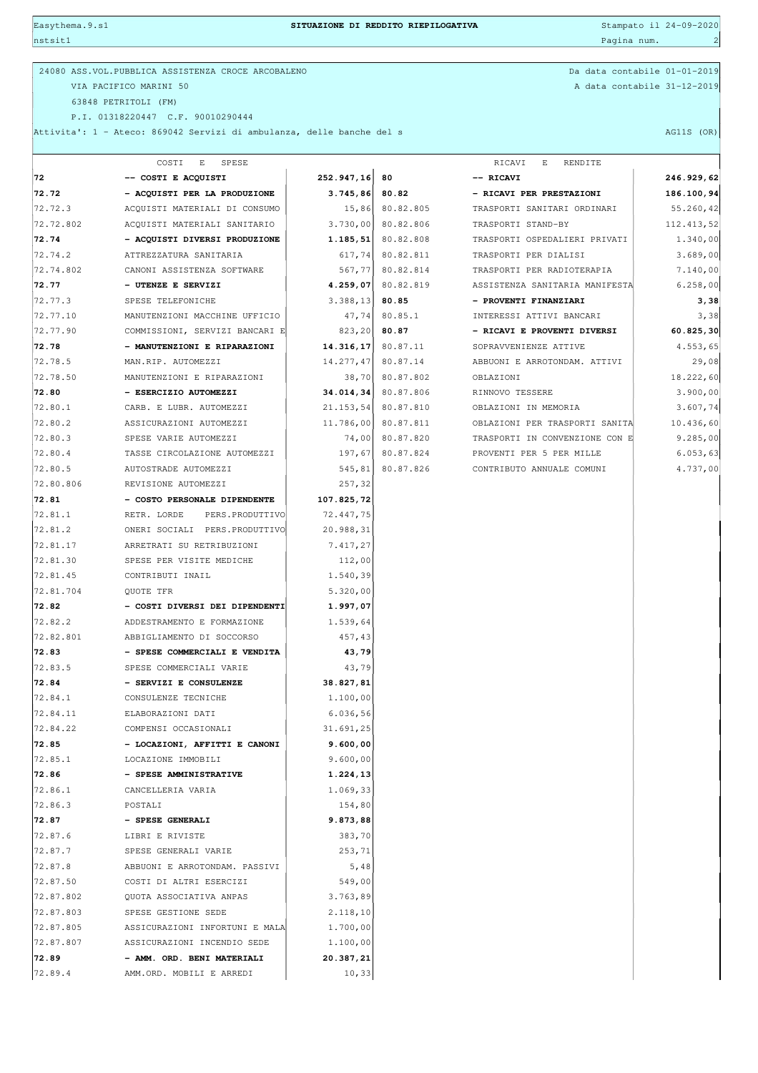| Easythema. 9.s1 |                                                                       | SITUAZIONE DI REDDITO RIEPILOGATIVA |                       |                                | Stampato il 24-09-2020 |  |  |
|-----------------|-----------------------------------------------------------------------|-------------------------------------|-----------------------|--------------------------------|------------------------|--|--|
| nstsit1         |                                                                       |                                     |                       | Pagina num.                    | $\mathbf{2}$           |  |  |
|                 | 24080 ASS.VOL. PUBBLICA ASSISTENZA CROCE ARCOBALENO                   |                                     |                       | Da data contabile 01-01-2019   |                        |  |  |
|                 | VIA PACIFICO MARINI 50                                                |                                     |                       | A data contabile 31-12-2019    |                        |  |  |
|                 | 63848 PETRITOLI (FM)                                                  |                                     |                       |                                |                        |  |  |
|                 | P.I. 01318220447 C.F. 90010290444                                     |                                     |                       |                                |                        |  |  |
|                 | Attivita': 1 - Ateco: 869042 Servizi di ambulanza, delle banche del s |                                     |                       |                                | AG11S (OR)             |  |  |
|                 | COSTI<br>E SPESE                                                      |                                     |                       | RICAVI<br>E<br>RENDITE         |                        |  |  |
| 72              | -- COSTI E ACQUISTI                                                   | 252.947,16                          | 80                    | -- RICAVI                      | 246.929,62             |  |  |
| 72.72           | - ACQUISTI PER LA PRODUZIONE                                          | 3.745,86                            | 80.82                 | - RICAVI PER PRESTAZIONI       | 186.100,94             |  |  |
| 72.72.3         | ACQUISTI MATERIALI DI CONSUMO                                         |                                     | 15,86 80.82.805       | TRASPORTI SANITARI ORDINARI    | 55.260,42              |  |  |
| 72.72.802       | ACQUISTI MATERIALI SANITARIO                                          |                                     | $3.730,00$ 80.82.806  | TRASPORTI STAND-BY             | 112.413,52             |  |  |
| 72.74           | - ACQUISTI DIVERSI PRODUZIONE                                         |                                     | $1.185, 51$ 80.82.808 | TRASPORTI OSPEDALIERI PRIVATI  | 1.340,00               |  |  |
| 72.74.2         | ATTREZZATURA SANITARIA                                                |                                     | $617,74$ 80.82.811    | TRASPORTI PER DIALISI          | 3.689,00               |  |  |
| 72.74.802       | CANONI ASSISTENZA SOFTWARE                                            |                                     | 567,77 80.82.814      | TRASPORTI PER RADIOTERAPIA     | 7.140,00               |  |  |
| 72.77           | - UTENZE E SERVIZI                                                    | 4.259,07                            | 80.82.819             | ASSISTENZA SANITARIA MANIFESTA | 6.258,00               |  |  |
| 72.77.3         | SPESE TELEFONICHE                                                     | 3.388, 13                           | 80.85                 | - PROVENTI FINANZIARI          | 3,38                   |  |  |
| 72.77.10        | MANUTENZIONI MACCHINE UFFICIO                                         | 47,74                               | 80.85.1               | INTERESSI ATTIVI BANCARI       | 3,38                   |  |  |
| 72.77.90        | COMMISSIONI, SERVIZI BANCARI E                                        | 823, 20                             | 80.87                 | - RICAVI E PROVENTI DIVERSI    | 60.825,30              |  |  |
| 72.78           | - MANUTENZIONI E RIPARAZIONI                                          | $14.316, 17$ 80.87.11               |                       | SOPRAVVENIENZE ATTIVE          | 4.553,65               |  |  |
| 72.78.5         | MAN.RIP. AUTOMEZZI                                                    | 14.277,47 80.87.14                  |                       | ABBUONI E ARROTONDAM. ATTIVI   | 29,08                  |  |  |
| 72.78.50        | MANUTENZIONI E RIPARAZIONI                                            |                                     | 38,70 80.87.802       | OBLAZIONI                      | 18.222,60              |  |  |
| 72.80           | - ESERCIZIO AUTOMEZZI                                                 |                                     | 34.014,34 80.87.806   | RINNOVO TESSERE                | 3.900,00               |  |  |
| 72.80.1         | CARB. E LUBR. AUTOMEZZI                                               |                                     | 21.153,54 80.87.810   | OBLAZIONI IN MEMORIA           | 3.607,74               |  |  |
| 72.80.2         | ASSICURAZIONI AUTOMEZZI                                               |                                     | 11.786,00 80.87.811   | OBLAZIONI PER TRASPORTI SANITA | 10.436,60              |  |  |
| 72.80.3         | SPESE VARIE AUTOMEZZI                                                 | 74,00                               | 80.87.820             | TRASPORTI IN CONVENZIONE CON E | 9.285,00               |  |  |
| 72.80.4         | TASSE CIRCOLAZIONE AUTOMEZZI                                          | 197,67                              | 80.87.824             | PROVENTI PER 5 PER MILLE       | 6.053, 63              |  |  |
| 72.80.5         | AUTOSTRADE AUTOMEZZI                                                  | 545, 81                             | 80.87.826             | CONTRIBUTO ANNUALE COMUNI      | 4.737,00               |  |  |
| 72.80.806       | REVISIONE AUTOMEZZI                                                   | 257,32                              |                       |                                |                        |  |  |
| 72.81           | - COSTO PERSONALE DIPENDENTE                                          | 107.825,72                          |                       |                                |                        |  |  |
| 72.81.1         | RETR. LORDE<br>PERS.PRODUTTIVO                                        | 72.447,75                           |                       |                                |                        |  |  |
| 72.81.2         | ONERI SOCIALI PERS. PRODUTTIVO                                        | 20.988,31                           |                       |                                |                        |  |  |
| 72.81.17        | ARRETRATI SU RETRIBUZIONI                                             | 7.417,27                            |                       |                                |                        |  |  |
| 72.81.30        | SPESE PER VISITE MEDICHE                                              | 112,00                              |                       |                                |                        |  |  |
| 72.81.45        | CONTRIBUTI INAIL                                                      | 1.540,39                            |                       |                                |                        |  |  |
| 72.81.704       | QUOTE TFR                                                             | 5.320,00                            |                       |                                |                        |  |  |
| 72.82           | - COSTI DIVERSI DEI DIPENDENTI                                        | 1.997,07                            |                       |                                |                        |  |  |
| 72.82.2         | ADDESTRAMENTO E FORMAZIONE                                            | 1.539,64                            |                       |                                |                        |  |  |
| 72.82.801       | ABBIGLIAMENTO DI SOCCORSO                                             | 457,43                              |                       |                                |                        |  |  |
| 72.83           | - SPESE COMMERCIALI E VENDITA                                         | 43,79                               |                       |                                |                        |  |  |
| 72.83.5         | SPESE COMMERCIALI VARIE                                               | 43,79                               |                       |                                |                        |  |  |
| 72.84           | - SERVIZI E CONSULENZE                                                | 38.827,81                           |                       |                                |                        |  |  |
| 72.84.1         | CONSULENZE TECNICHE                                                   | 1.100,00                            |                       |                                |                        |  |  |
| 72.84.11        | ELABORAZIONI DATI                                                     | 6.036,56                            |                       |                                |                        |  |  |
| 72.84.22        | COMPENSI OCCASIONALI                                                  | 31.691,25                           |                       |                                |                        |  |  |
| 72.85           | - LOCAZIONI, AFFITTI E CANONI                                         | 9.600,00                            |                       |                                |                        |  |  |
| 72.85.1         | LOCAZIONE IMMOBILI                                                    | 9.600,00                            |                       |                                |                        |  |  |
| 72.86           | - SPESE AMMINISTRATIVE                                                | 1.224,13                            |                       |                                |                        |  |  |
| 72.86.1         | CANCELLERIA VARIA                                                     | 1.069,33                            |                       |                                |                        |  |  |
| 72.86.3         | POSTALI                                                               | 154,80                              |                       |                                |                        |  |  |
| 72.87           | - SPESE GENERALI                                                      | 9.873,88                            |                       |                                |                        |  |  |
| 72.87.6         | LIBRI E RIVISTE                                                       | 383,70                              |                       |                                |                        |  |  |
| 72.87.7         | SPESE GENERALI VARIE                                                  | 253,71                              |                       |                                |                        |  |  |
| 72.87.8         | ABBUONI E ARROTONDAM. PASSIVI                                         | 5,48                                |                       |                                |                        |  |  |
| 72.87.50        | COSTI DI ALTRI ESERCIZI                                               | 549,00                              |                       |                                |                        |  |  |
| 72.87.802       | QUOTA ASSOCIATIVA ANPAS                                               | 3.763,89                            |                       |                                |                        |  |  |
| 72.87.803       | SPESE GESTIONE SEDE                                                   | 2.118,10                            |                       |                                |                        |  |  |
| 72.87.805       | ASSICURAZIONI INFORTUNI E MALA                                        | 1.700,00                            |                       |                                |                        |  |  |
| 72.87.807       | ASSICURAZIONI INCENDIO SEDE                                           | 1.100,00                            |                       |                                |                        |  |  |
| 72.89           | - AMM. ORD. BENI MATERIALI                                            | 20.387,21                           |                       |                                |                        |  |  |
| 72.89.4         | AMM.ORD. MOBILI E ARREDI                                              | 10, 33                              |                       |                                |                        |  |  |